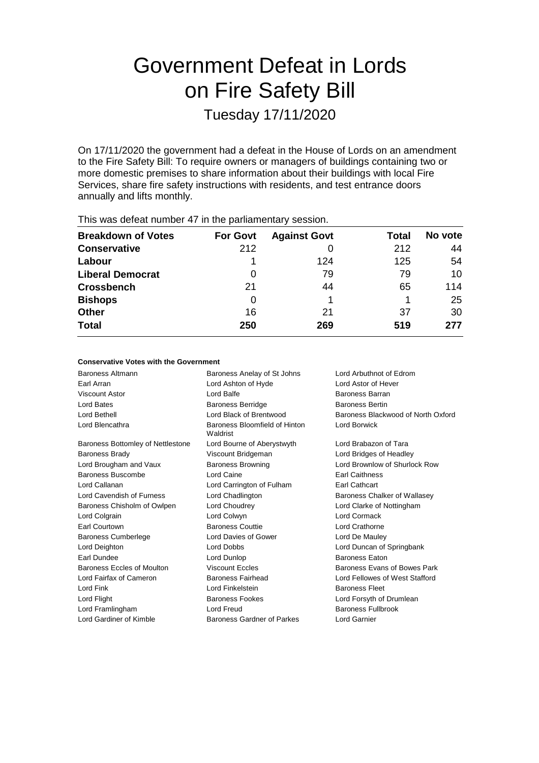# Government Defeat in Lords on Fire Safety Bill

Tuesday 17/11/2020

On 17/11/2020 the government had a defeat in the House of Lords on an amendment to the Fire Safety Bill: To require owners or managers of buildings containing two or more domestic premises to share information about their buildings with local Fire Services, share fire safety instructions with residents, and test entrance doors annually and lifts monthly.

| $1.110$ $1.00$ $0.000$ $0.000$ $1.001$ $1.000$ $0.000$ $0.000$ $0.000$ $0.000$ $0.000$ $0.000$ |                 |                     |       |         |  |  |
|------------------------------------------------------------------------------------------------|-----------------|---------------------|-------|---------|--|--|
| <b>Breakdown of Votes</b>                                                                      | <b>For Govt</b> | <b>Against Govt</b> | Total | No vote |  |  |
| <b>Conservative</b>                                                                            | 212             |                     | 212   | 44      |  |  |
| Labour                                                                                         |                 | 124                 | 125   | 54      |  |  |
| <b>Liberal Democrat</b>                                                                        | 0               | 79                  | 79    | 10      |  |  |
| <b>Crossbench</b>                                                                              | 21              | 44                  | 65    | 114     |  |  |
| <b>Bishops</b>                                                                                 | 0               |                     |       | 25      |  |  |
| Other                                                                                          | 16              | 21                  | 37    | 30      |  |  |
| <b>Total</b>                                                                                   | 250             | 269                 | 519   | 277     |  |  |
|                                                                                                |                 |                     |       |         |  |  |

This was defeat number 47 in the parliamentary session.

| <b>Conservative Votes with the Government</b> |                                               |                                    |
|-----------------------------------------------|-----------------------------------------------|------------------------------------|
| Baroness Altmann                              | Baroness Anelay of St Johns                   | Lord Arbuthnot of Edrom            |
| Earl Arran                                    | Lord Ashton of Hyde                           | Lord Astor of Hever                |
| Viscount Astor                                | Lord Balfe                                    | <b>Baroness Barran</b>             |
| Lord Bates                                    | Baroness Berridge                             | <b>Baroness Bertin</b>             |
| Lord Bethell                                  | Lord Black of Brentwood                       | Baroness Blackwood of North Oxford |
| Lord Blencathra                               | Baroness Bloomfield of Hinton<br>Waldrist     | <b>Lord Borwick</b>                |
| Baroness Bottomley of Nettlestone             | Lord Bourne of Aberystwyth                    | Lord Brabazon of Tara              |
| <b>Baroness Brady</b>                         | Viscount Bridgeman<br>Lord Bridges of Headley |                                    |
| Lord Brougham and Vaux                        | <b>Baroness Browning</b>                      | Lord Brownlow of Shurlock Row      |
| Baroness Buscombe                             | Lord Caine                                    | <b>Earl Caithness</b>              |
| Lord Callanan                                 | Lord Carrington of Fulham                     | Earl Cathcart                      |
| Lord Cavendish of Furness                     | Lord Chadlington                              | Baroness Chalker of Wallasey       |
| Baroness Chisholm of Owlpen                   | Lord Choudrey                                 | Lord Clarke of Nottingham          |
| Lord Colgrain                                 | Lord Colwyn                                   | Lord Cormack                       |
| Earl Courtown                                 | <b>Baroness Couttie</b>                       | Lord Crathorne                     |
| <b>Baroness Cumberlege</b>                    | Lord Davies of Gower                          | Lord De Mauley                     |
| Lord Deighton                                 | Lord Dobbs                                    | Lord Duncan of Springbank          |
| Earl Dundee                                   | Lord Dunlop                                   | <b>Baroness Eaton</b>              |
| Baroness Eccles of Moulton                    | <b>Viscount Eccles</b>                        | Baroness Evans of Bowes Park       |
| Lord Fairfax of Cameron                       | Baroness Fairhead                             | Lord Fellowes of West Stafford     |
| Lord Fink                                     | Lord Finkelstein                              | <b>Baroness Fleet</b>              |
| Lord Flight                                   | <b>Baroness Fookes</b>                        | Lord Forsyth of Drumlean           |
| Lord Framlingham                              | Lord Freud                                    | Baroness Fullbrook                 |
| Lord Gardiner of Kimble                       | Baroness Gardner of Parkes                    | Lord Garnier                       |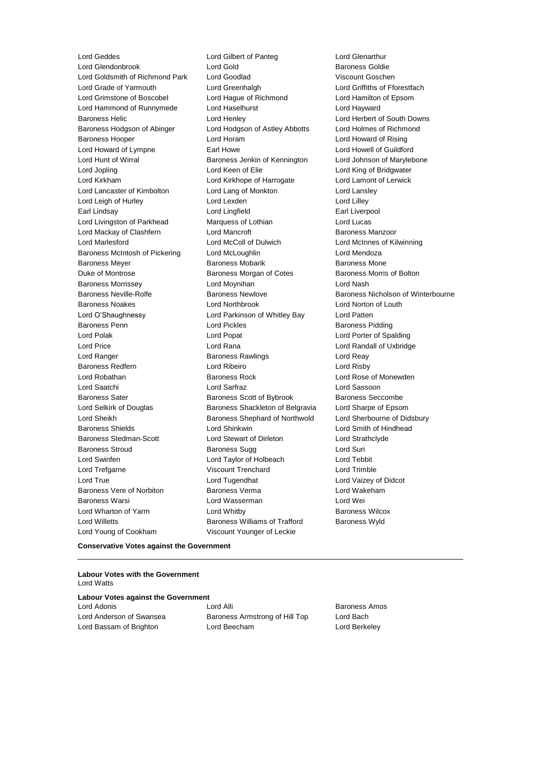Lord Glendonbrook Lord Goldsmith of Richmond Park Lord Goodlad Viscount Goschen<br>
Lord Grade of Yarmouth Lord Greenhalgh Lord Griffiths of Ff Lord Grade of Yarmouth **Lord Greenhalgh** Lord Greenhalgh Lord Griffiths of Fforestfach Lord Grimstone of Boscobel Lord Hague of Richmond Lord Hamilton of Epsom Lord Hammond of Runnymede Lord Haselhurst Lord Hayward Baroness Helic Lord Henley Lord Herbert of South Downs Baroness Hodgson of Abinger Lord Hodgson of Astley Abbotts Lord Holmes of Richmond Baroness Hooper Lord Horam Lord Howard of Rising Lord Howard of Lympne **Earl Howe Earl Howell Communist Communist** Lord Howell of Guildford Lord Hunt of Wirral **Baroness Jenkin of Kennington** Lord Johnson of Marylebone Lord Jopling **Lord Keen of Elie** Lord Keen Clear Lord King of Bridgwater Lord Kirkham Lord Kirkhope of Harrogate Lord Lamont of Lerwick Lord Lancaster of Kimbolton Lord Lang of Monkton Lord Lansley Lord Leigh of Hurley Lord Lexden Lord Lilley Earl Lindsay Lord Lingfield Earl Liverpool Lord Livingston of Parkhead Marquess of Lothian Lord Lucas Lord Mackay of Clashfern **Lord Mancroft Communist Clashfern Lord Mancroft Baroness Manzoor** Lord Marlesford Lord McColl of Dulwich Lord McInnes of Kilwinning Baroness McIntosh of Pickering Lord McLoughlin Lord Mendoza Baroness Meyer **Baroness Mobarik** Baroness Mobarik Baroness Mone Duke of Montrose **Baroness Morgan of Cotes** Baroness Morris of Bolton Baroness Morrissey **Lord Moynihan** Lord Moynihan Lord Nash Baroness Neville-Rolfe **Baroness Newlove** Baroness Newlove **Baroness Nicholson of Winterbourne** Baroness Noakes Lord Northbrook Lord Norton of Louth Lord O'Shaughnessy Lord Parkinson of Whitley Bay Lord Patten Baroness Penn **Baroness Pidding** Lord Pickles **Baroness Pidding** Baroness Pidding Lord Polak Lord Popat Lord Porter of Spalding Lord Price Lord Rana Lord Randall of Uxbridge Lord Ranger Baroness Rawlings Lord Reay Baroness Redfern Lord Ribeiro Lord Risby Lord Robathan **Baroness Rock** Lord Rose of Monewden Lord Saatchi Lord Sarfraz Lord Sassoon Baroness Sater **Baroness Scott of Bybrook** Baroness Seccombe Lord Selkirk of Douglas Baroness Shackleton of Belgravia Lord Sharpe of Epsom Lord Sheikh **Baroness Shephard of Northwold** Lord Sherbourne of Didsbury Baroness Shields **Lord Shinkwin** Lord Smith of Hindhead Baroness Stedman-Scott Lord Stewart of Dirleton Lord Strathclyde Baroness Stroud Baroness Sugg Lord Suri Lord Swinfen Lord Taylor of Holbeach Lord Tebbit Lord Trefgarne Viscount Trenchard Lord Trimble Lord True Lord Tugendhat Lord Vaizey of Didcot Baroness Vere of Norbiton Baroness Verma Lord Wakeham Baroness Warsi Lord Wasserman Lord Wei Lord Wharton of Yarm Lord Whitby Baroness Wilcox Lord Willetts **Baroness Williams of Trafford** Baroness Wyld Lord Young of Cookham Viscount Younger of Leckie

Lord Geddes Lord Gilbert of Panteg Lord Glenarthur

#### **Conservative Votes against the Government**

### **Labour Votes with the Government** Lord Watts

|  |  |  |  | <b>Labour Votes against the Government</b> |
|--|--|--|--|--------------------------------------------|
|--|--|--|--|--------------------------------------------|

Lord Adonis Lord Alli Baroness Amos Lord Anderson of Swansea Baroness Armstrong of Hill Top Lord Bach Lord Bassam of Brighton Lord Beecham Lord Berkeley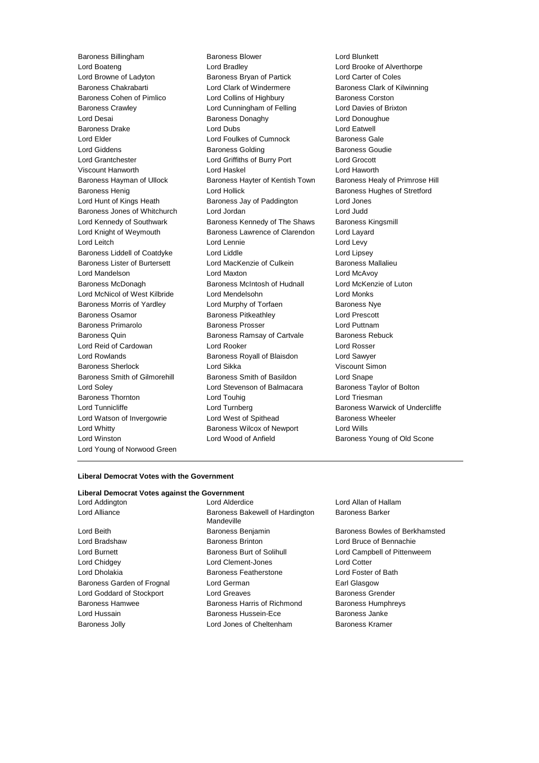Lord Boateng Lord Bradley Lord Brooke of Alverthorpe Lord Browne of Ladyton Baroness Bryan of Partick Lord Carter of Coles Baroness Chakrabarti Lord Clark of Windermere Baroness Clark of Kilwinning Baroness Cohen of Pimlico **Lord Collins of Highbury** Baroness Corston Baroness Crawley **Lord Cunningham of Felling** Lord Davies of Brixton Lord Desai Baroness Donaghy Lord Donoughue Baroness Drake Lord Dubs Lord Eatwell Lord Elder **Lord Foulkes of Cumnock** Baroness Gale Lord Giddens **Baroness Golding** Baroness Goudie Lord Grantchester Lord Griffiths of Burry Port Lord Grocott Viscount Hanworth Lord Haskel Lord Haworth Baroness Hayman of Ullock Baroness Hayter of Kentish Town Baroness Healy of Primrose Hill Baroness Henig Lord Hollick Baroness Hughes of Stretford Lord Hunt of Kings Heath Baroness Jay of Paddington Lord Jones Baroness Jones of Whitchurch Lord Jordan Lord Judd Lord Kennedy of Southwark Baroness Kennedy of The Shaws Baroness Kingsmill Lord Knight of Weymouth **Baroness Lawrence of Clarendon** Lord Layard Lord Leitch **Lord Lennie** Lord Lennie **Lord Levy** Baroness Liddell of Coatdyke Lord Liddle Lord Lipsey Baroness Lister of Burtersett Lord MacKenzie of Culkein Baroness Mallalieu Lord Mandelson Lord Maxton Lord McAvoy Baroness McDonagh Baroness McIntosh of Hudnall Lord McKenzie of Luton Lord McNicol of West Kilbride Lord Mendelsohn Lord Monks Baroness Morris of Yardley **Lord Murphy of Torfaen** Baroness Nye Baroness Osamor **Baroness Pitkeathley Baroness Provident Lord Prescott** Baroness Primarolo **Baroness Prosser Baroness Prosser** Lord Puttnam Baroness Quin **Baroness Ramsay of Cartvale** Baroness Rebuck Lord Reid of Cardowan Lord Rooker Lord Rosser Lord Rowlands Baroness Royall of Blaisdon Lord Sawyer Baroness Sherlock Lord Sikka Viscount Simon Baroness Smith of Gilmorehill Baroness Smith of Basildon Lord Snape Lord Soley Lord Stevenson of Balmacara Baroness Taylor of Bolton Baroness Thornton **Lord Touhig** Lord Touhig Lord Triesman Lord Tunnicliffe **Lord Turnberg** Lord Turnberg **Baroness Warwick of Undercliffe** Lord Watson of Invergowrie **Lord West of Spithead** Baroness Wheeler Lord Whitty **Baroness Wilcox of Newport** Lord Wills Lord Winston **Lord Wood of Anfield** Baroness Young of Old Scone Lord Young of Norwood Green

Baroness Billingham Baroness Blower Lord Blunkett

### **Liberal Democrat Votes with the Government**

### **Liberal Democrat Votes against the Government**

Lord Alderdice **Lord Allan of Hallam** Lord Alliance **Baroness Bakewell of Hardington** Mandeville Lord Beith Baroness Benjamin Baroness Bowles of Berkhamsted Lord Bradshaw Baroness Brinton Lord Bruce of Bennachie Lord Burnett **Baroness Burt of Solihull** Lord Campbell of Pittenweem Lord Chidgey Lord Clement-Jones Lord Cotter Lord Dholakia Baroness Featherstone Lord Foster of Bath Baroness Garden of Frognal Lord German **Earl Glasgow** Earl Glasgow Lord Goddard of Stockport Lord Greaves **Baroness Grender** Baroness Hamwee Baroness Harris of Richmond Baroness Humphreys Lord Hussain Baroness Hussein-Ece Baroness Janke Baroness Jolly Lord Jones of Cheltenham Baroness Kramer

Baroness Barker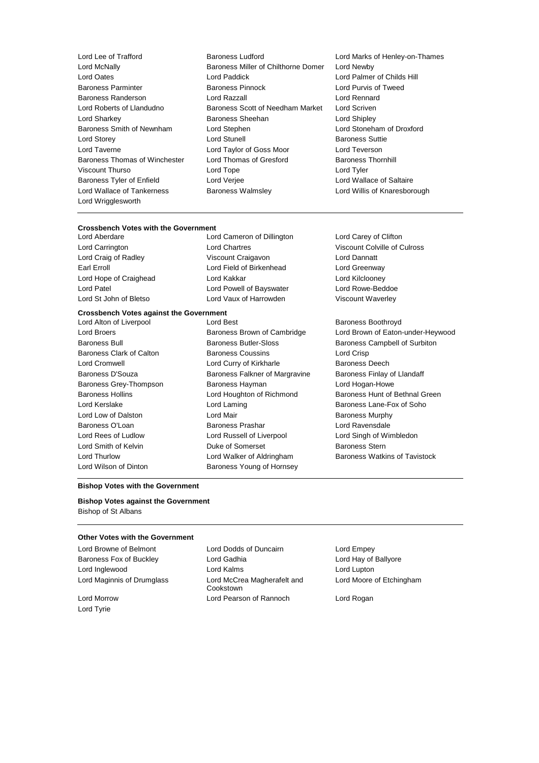- Lord Wrigglesworth
- Lord Lee of Trafford **Baroness Ludford** Lord Marks of Henley-on-Thames<br>
Lord McNally **Baroness Miller of Chilthorne Domer** Lord Newby Baroness Miller of Chilthorne Domer Lord Newby Lord Oates Lord Paddick Lord Palmer of Childs Hill Baroness Parminter Baroness Pinnock Lord Purvis of Tweed Baroness Randerson Lord Razzall Lord Rennard Lord Roberts of Llandudno Baroness Scott of Needham Market Lord Scriven Lord Sharkey Baroness Sheehan Lord Shipley Baroness Smith of Newnham Lord Stephen Lord Stoneham of Droxford Lord Storey Lord Stunell Baroness Suttie Lord Taverne Lord Taylor of Goss Moor Lord Teverson Baroness Thomas of Winchester Lord Thomas of Gresford Baroness Thornhill Viscount Thurso Lord Tope Lord Tyler Baroness Tyler of Enfield Lord Verjee Lord Wallace of Saltaire Lord Wallace of Tankerness Baroness Walmsley Lord Willis of Knaresborough
	-

### **Crossbench Votes with the Government**

Lord Cameron of Dillington Lord Carey of Clifton Lord Craig of Radley **Viscount Craigavon** Craigavon Earl Erroll **Example 20** Lord Field of Birkenhead Lord Greenway Lord Hope of Craighead Lord Kakkar Lord Kilclooney Lord Patel Lord Powell of Bayswater Lord Rowe-Beddoe Lord St John of Bletso Lord Vaux of Harrowden Viscount Waverley

### **Crossbench Votes against the Government**

Lord Wilson of Dinton **Baroness Young of Hornsey** 

Lord Alton of Liverpool **Lord Best** Baroness Boothroyd Baroness Bull **Baroness Bull Baroness Butler-Sloss** Baroness Campbell of Surbiton Baroness Clark of Calton Baroness Coussins Lord Crisp Lord Cromwell **Lord Curry of Kirkharle** Baroness Deech Baroness D'Souza **Baroness Falkner of Margravine** Baroness Finlay of Llandaff Baroness Grey-Thompson Baroness Hayman Lord Hogan-Howe Lord Kerslake **Lord Laming** Lord Laming **Baroness Lane-Fox of Soho** Lord Low of Dalston **Lord Mair Lord Mair Baroness Murphy** Baroness O'Loan Baroness Prashar Lord Ravensdale Lord Rees of Ludlow Lord Russell of Liverpool Lord Singh of Wimbledon Lord Smith of Kelvin Duke of Somerset Baroness Stern Lord Thurlow **Lord Walker of Aldringham** Baroness Watkins of Tavistock

Lord Carrington Lord Chartres Viscount Colville of Culross

Lord Broers Baroness Brown of Cambridge Lord Brown of Eaton-under-Heywood Baroness Hollins **Example 2** Lord Houghton of Richmond Baroness Hunt of Bethnal Green

### **Bishop Votes with the Government**

### **Bishop Votes against the Government** Bishop of St Albans

### **Other Votes with the Government**

Baroness Fox of Buckley **Lord Gadhia** Lord Gadhia Lord Hay of Ballyore Lord Inglewood Lord Kalms Lord Lupton

Lord Tyrie

Lord Browne of Belmont Lord Dodds of Duncairn Lord Empey Lord Maginnis of Drumglass Lord McCrea Magherafelt and Cookstown Lord Morrow Lord Pearson of Rannoch Lord Rogan

Lord Moore of Etchingham